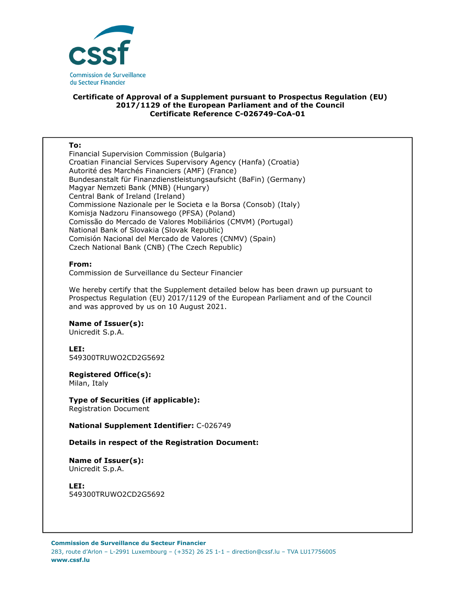

# **Certificate of Approval of a Supplement pursuant to Prospectus Regulation (EU) 2017/1129 of the European Parliament and of the Council Certificate Reference C-026749-CoA-01**

### **To:**

Financial Supervision Commission (Bulgaria) Croatian Financial Services Supervisory Agency (Hanfa) (Croatia) Autorité des Marchés Financiers (AMF) (France) Bundesanstalt für Finanzdienstleistungsaufsicht (BaFin) (Germany) Magyar Nemzeti Bank (MNB) (Hungary) Central Bank of Ireland (Ireland) Commissione Nazionale per le Societa e la Borsa (Consob) (Italy) Komisja Nadzoru Finansowego (PFSA) (Poland) Comissão do Mercado de Valores Mobiliários (CMVM) (Portugal) National Bank of Slovakia (Slovak Republic) Comisión Nacional del Mercado de Valores (CNMV) (Spain) Czech National Bank (CNB) (The Czech Republic)

## **From:**

Commission de Surveillance du Secteur Financier

We hereby certify that the Supplement detailed below has been drawn up pursuant to Prospectus Regulation (EU) 2017/1129 of the European Parliament and of the Council and was approved by us on 10 August 2021.

## **Name of Issuer(s):**

Unicredit S.p.A.

## **LEI:**

549300TRUWO2CD2G5692

## **Registered Office(s):**

Milan, Italy

**Type of Securities (if applicable):**  Registration Document

**National Supplement Identifier:** C-026749

## **Details in respect of the Registration Document:**

**Name of Issuer(s):**  Unicredit S.p.A.

**LEI:** 549300TRUWO2CD2G5692